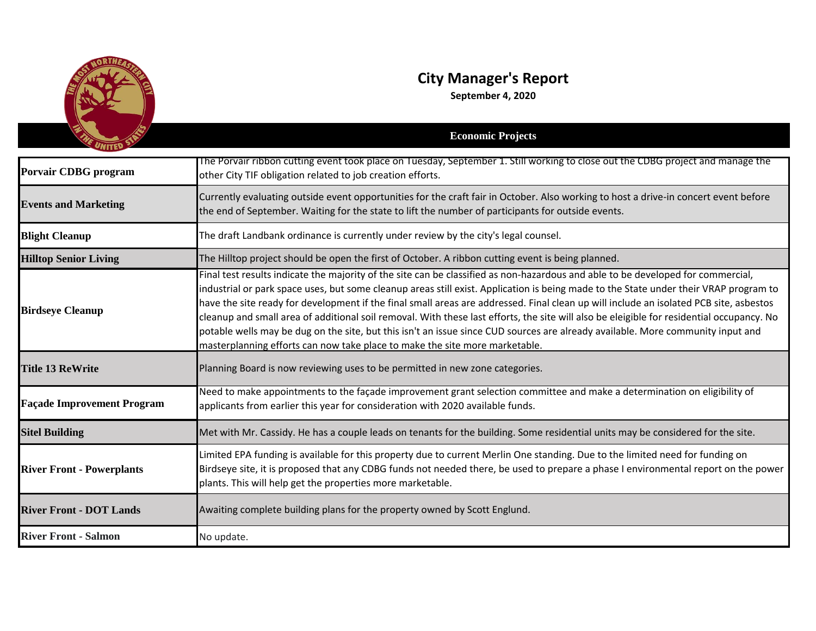

## **City Manager's Report**

**September 4, 2020**

|                                   | <b>Economic Projects</b>                                                                                                                                                                                                                                                                                                                                                                                                                                                                                                                                                                                                                                                                                                                                                           |
|-----------------------------------|------------------------------------------------------------------------------------------------------------------------------------------------------------------------------------------------------------------------------------------------------------------------------------------------------------------------------------------------------------------------------------------------------------------------------------------------------------------------------------------------------------------------------------------------------------------------------------------------------------------------------------------------------------------------------------------------------------------------------------------------------------------------------------|
| Porvair CDBG program              | The Porvair ribbon cutting event took place on Tuesday, September 1. Still working to close out the CDBG project and manage the<br>other City TIF obligation related to job creation efforts.                                                                                                                                                                                                                                                                                                                                                                                                                                                                                                                                                                                      |
| <b>Events and Marketing</b>       | Currently evaluating outside event opportunities for the craft fair in October. Also working to host a drive-in concert event before<br>the end of September. Waiting for the state to lift the number of participants for outside events.                                                                                                                                                                                                                                                                                                                                                                                                                                                                                                                                         |
| <b>Blight Cleanup</b>             | The draft Landbank ordinance is currently under review by the city's legal counsel.                                                                                                                                                                                                                                                                                                                                                                                                                                                                                                                                                                                                                                                                                                |
| <b>Hilltop Senior Living</b>      | The Hilltop project should be open the first of October. A ribbon cutting event is being planned.                                                                                                                                                                                                                                                                                                                                                                                                                                                                                                                                                                                                                                                                                  |
| <b>Birdseye Cleanup</b>           | Final test results indicate the majority of the site can be classified as non-hazardous and able to be developed for commercial,<br>industrial or park space uses, but some cleanup areas still exist. Application is being made to the State under their VRAP program to<br>have the site ready for development if the final small areas are addressed. Final clean up will include an isolated PCB site, asbestos<br>cleanup and small area of additional soil removal. With these last efforts, the site will also be eleigible for residential occupancy. No<br>potable wells may be dug on the site, but this isn't an issue since CUD sources are already available. More community input and<br>masterplanning efforts can now take place to make the site more marketable. |
| <b>Title 13 ReWrite</b>           | Planning Board is now reviewing uses to be permitted in new zone categories.                                                                                                                                                                                                                                                                                                                                                                                                                                                                                                                                                                                                                                                                                                       |
| <b>Façade Improvement Program</b> | Need to make appointments to the façade improvement grant selection committee and make a determination on eligibility of<br>applicants from earlier this year for consideration with 2020 available funds.                                                                                                                                                                                                                                                                                                                                                                                                                                                                                                                                                                         |
| <b>Sitel Building</b>             | Met with Mr. Cassidy. He has a couple leads on tenants for the building. Some residential units may be considered for the site.                                                                                                                                                                                                                                                                                                                                                                                                                                                                                                                                                                                                                                                    |
| <b>River Front - Powerplants</b>  | Limited EPA funding is available for this property due to current Merlin One standing. Due to the limited need for funding on<br>Birdseye site, it is proposed that any CDBG funds not needed there, be used to prepare a phase I environmental report on the power<br>plants. This will help get the properties more marketable.                                                                                                                                                                                                                                                                                                                                                                                                                                                  |
| <b>River Front - DOT Lands</b>    | Awaiting complete building plans for the property owned by Scott Englund.                                                                                                                                                                                                                                                                                                                                                                                                                                                                                                                                                                                                                                                                                                          |
| <b>River Front - Salmon</b>       | No update.                                                                                                                                                                                                                                                                                                                                                                                                                                                                                                                                                                                                                                                                                                                                                                         |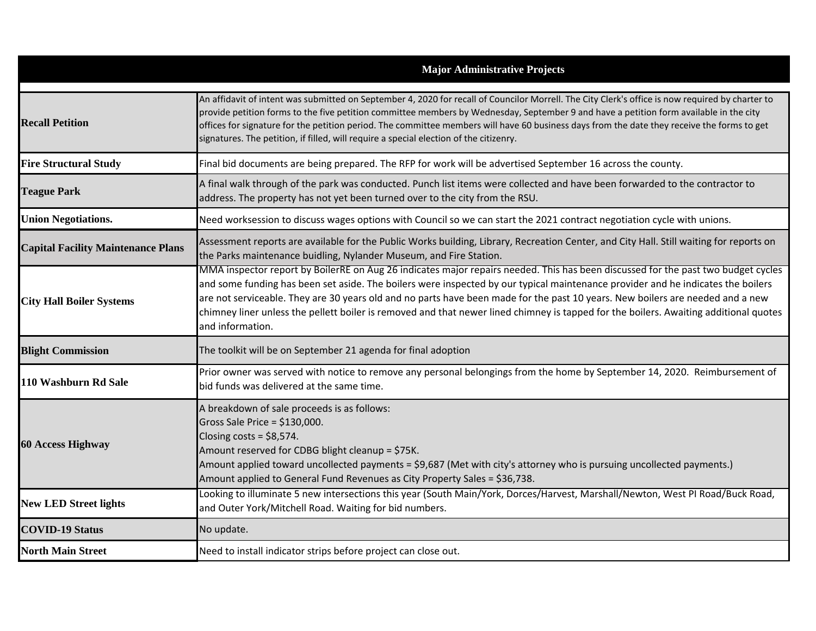|                                           | <b>Major Administrative Projects</b>                                                                                                                                                                                                                                                                                                                                                                                                                                                                                                                                 |
|-------------------------------------------|----------------------------------------------------------------------------------------------------------------------------------------------------------------------------------------------------------------------------------------------------------------------------------------------------------------------------------------------------------------------------------------------------------------------------------------------------------------------------------------------------------------------------------------------------------------------|
| <b>Recall Petition</b>                    | An affidavit of intent was submitted on September 4, 2020 for recall of Councilor Morrell. The City Clerk's office is now required by charter to<br>provide petition forms to the five petition committee members by Wednesday, September 9 and have a petition form available in the city<br>offices for signature for the petition period. The committee members will have 60 business days from the date they receive the forms to get<br>signatures. The petition, if filled, will require a special election of the citizenry.                                  |
| <b>Fire Structural Study</b>              | Final bid documents are being prepared. The RFP for work will be advertised September 16 across the county.                                                                                                                                                                                                                                                                                                                                                                                                                                                          |
| <b>Teague Park</b>                        | A final walk through of the park was conducted. Punch list items were collected and have been forwarded to the contractor to<br>address. The property has not yet been turned over to the city from the RSU.                                                                                                                                                                                                                                                                                                                                                         |
| <b>Union Negotiations.</b>                | Need worksession to discuss wages options with Council so we can start the 2021 contract negotiation cycle with unions.                                                                                                                                                                                                                                                                                                                                                                                                                                              |
| <b>Capital Facility Maintenance Plans</b> | Assessment reports are available for the Public Works building, Library, Recreation Center, and City Hall. Still waiting for reports on<br>the Parks maintenance buidling, Nylander Museum, and Fire Station.                                                                                                                                                                                                                                                                                                                                                        |
| <b>City Hall Boiler Systems</b>           | MMA inspector report by BoilerRE on Aug 26 indicates major repairs needed. This has been discussed for the past two budget cycles<br>and some funding has been set aside. The boilers were inspected by our typical maintenance provider and he indicates the boilers<br>are not serviceable. They are 30 years old and no parts have been made for the past 10 years. New boilers are needed and a new<br>chimney liner unless the pellett boiler is removed and that newer lined chimney is tapped for the boilers. Awaiting additional quotes<br>and information. |
| <b>Blight Commission</b>                  | The toolkit will be on September 21 agenda for final adoption                                                                                                                                                                                                                                                                                                                                                                                                                                                                                                        |
| 110 Washburn Rd Sale                      | Prior owner was served with notice to remove any personal belongings from the home by September 14, 2020. Reimbursement of<br>bid funds was delivered at the same time.                                                                                                                                                                                                                                                                                                                                                                                              |
| <b>60 Access Highway</b>                  | A breakdown of sale proceeds is as follows:<br>Gross Sale Price = \$130,000.<br>Closing costs = $$8,574$ .<br>Amount reserved for CDBG blight cleanup = \$75K.<br>Amount applied toward uncollected payments = \$9,687 (Met with city's attorney who is pursuing uncollected payments.)<br>Amount applied to General Fund Revenues as City Property Sales = \$36,738.                                                                                                                                                                                                |
| <b>New LED Street lights</b>              | Looking to illuminate 5 new intersections this year (South Main/York, Dorces/Harvest, Marshall/Newton, West PI Road/Buck Road,<br>and Outer York/Mitchell Road. Waiting for bid numbers.                                                                                                                                                                                                                                                                                                                                                                             |
| <b>COVID-19 Status</b>                    | No update.                                                                                                                                                                                                                                                                                                                                                                                                                                                                                                                                                           |
| <b>North Main Street</b>                  | Need to install indicator strips before project can close out.                                                                                                                                                                                                                                                                                                                                                                                                                                                                                                       |